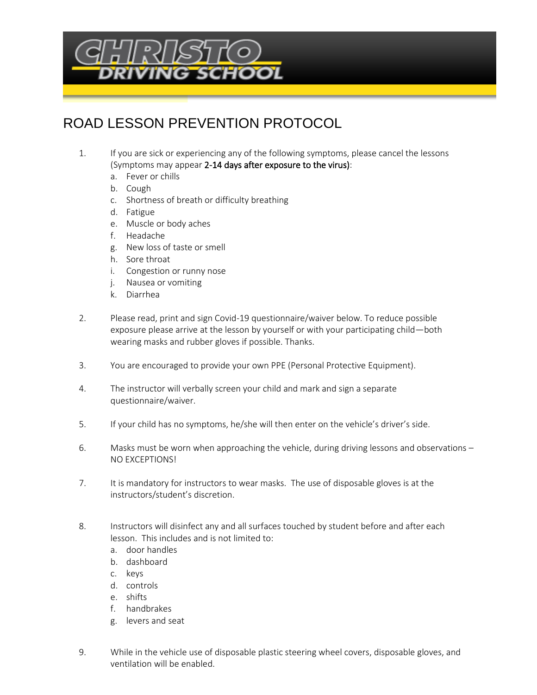

## ROAD LESSON PREVENTION PROTOCOL

- 1. If you are sick or experiencing any of the following symptoms, please cancel the lessons (Symptoms may appear 2-14 days after exposure to the virus):
	- a. Fever or chills
	- b. Cough
	- c. Shortness of breath or difficulty breathing
	- d. Fatigue
	- e. Muscle or body aches
	- f. Headache
	- g. New loss of taste or smell
	- h. Sore throat
	- i. Congestion or runny nose
	- j. Nausea or vomiting
	- k. Diarrhea
- 2. Please read, print and sign Covid-19 questionnaire/waiver below. To reduce possible exposure please arrive at the lesson by yourself or with your participating child—both wearing masks and rubber gloves if possible. Thanks.
- 3. You are encouraged to provide your own PPE (Personal Protective Equipment).
- 4. The instructor will verbally screen your child and mark and sign a separate questionnaire/waiver.
- 5. If your child has no symptoms, he/she will then enter on the vehicle's driver's side.
- 6. Masks must be worn when approaching the vehicle, during driving lessons and observations NO EXCEPTIONS!
- 7. It is mandatory for instructors to wear masks. The use of disposable gloves is at the instructors/student's discretion.
- 8. Instructors will disinfect any and all surfaces touched by student before and after each lesson. This includes and is not limited to:
	- a. door handles
	- b. dashboard
	- c. keys
	- d. controls
	- e. shifts
	- f. handbrakes
	- g. levers and seat
- 9. While in the vehicle use of disposable plastic steering wheel covers, disposable gloves, and ventilation will be enabled.